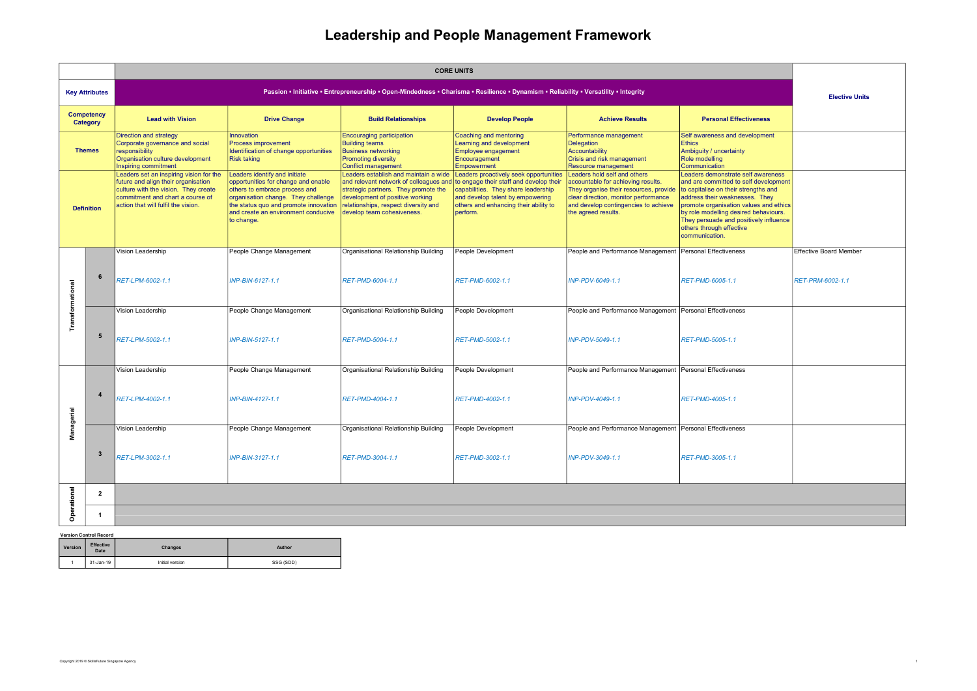## Leadership and People Management Framework

|                                    |                          | <b>CORE UNITS</b>                                                                                                                                                                                                                                                                                                                                          |                                                                                                                                                                                                                                                                                                                                                 |                                                                                                                                                                                                                                                                                                                                               |                                                                                                                                                                                                                                                                                                                                                                              |                                                                                                                                                                                                                                                                                                                                                  |                                                                                                                                                                                                                                                                                                                                                                                                     |                        |
|------------------------------------|--------------------------|------------------------------------------------------------------------------------------------------------------------------------------------------------------------------------------------------------------------------------------------------------------------------------------------------------------------------------------------------------|-------------------------------------------------------------------------------------------------------------------------------------------------------------------------------------------------------------------------------------------------------------------------------------------------------------------------------------------------|-----------------------------------------------------------------------------------------------------------------------------------------------------------------------------------------------------------------------------------------------------------------------------------------------------------------------------------------------|------------------------------------------------------------------------------------------------------------------------------------------------------------------------------------------------------------------------------------------------------------------------------------------------------------------------------------------------------------------------------|--------------------------------------------------------------------------------------------------------------------------------------------------------------------------------------------------------------------------------------------------------------------------------------------------------------------------------------------------|-----------------------------------------------------------------------------------------------------------------------------------------------------------------------------------------------------------------------------------------------------------------------------------------------------------------------------------------------------------------------------------------------------|------------------------|
|                                    | <b>Key Attributes</b>    | Passion • Initiative • Entrepreneurship • Open-Mindedness • Charisma • Resilience • Dynamism • Reliability • Versatility • Integrity                                                                                                                                                                                                                       |                                                                                                                                                                                                                                                                                                                                                 |                                                                                                                                                                                                                                                                                                                                               |                                                                                                                                                                                                                                                                                                                                                                              |                                                                                                                                                                                                                                                                                                                                                  |                                                                                                                                                                                                                                                                                                                                                                                                     |                        |
| <b>Competency</b><br>Category      |                          | <b>Lead with Vision</b>                                                                                                                                                                                                                                                                                                                                    | <b>Drive Change</b>                                                                                                                                                                                                                                                                                                                             | <b>Build Relationships</b>                                                                                                                                                                                                                                                                                                                    | <b>Develop People</b>                                                                                                                                                                                                                                                                                                                                                        | <b>Achieve Results</b>                                                                                                                                                                                                                                                                                                                           | <b>Personal Effectiveness</b>                                                                                                                                                                                                                                                                                                                                                                       |                        |
| <b>Themes</b><br><b>Definition</b> |                          | <b>Direction and strategy</b><br>Corporate governance and social<br>responsibility<br>Organisation culture development<br><b>Inspiring commitment</b><br>Leaders set an inspiring vision for the<br>future and align their organisation<br>culture with the vision. They create<br>commitment and chart a course of<br>action that will fulfil the vision. | Innovation<br>Process improvement<br>Identification of change opportunities<br><b>Risk taking</b><br>Leaders identify and initiate<br>opportunities for change and enable<br>others to embrace process and<br>organisation change. They challenge<br>the status quo and promote innovation<br>and create an environment conducive<br>to change. | <b>Encouraging participation</b><br><b>Building teams</b><br><b>Business networking</b><br><b>Promoting diversity</b><br><b>Conflict management</b><br>Leaders establish and maintain a wide<br>strategic partners. They promote the<br>development of positive working<br>relationships, respect diversity and<br>develop team cohesiveness. | Coaching and mentoring<br>Learning and development<br><b>Employee engagement</b><br>Encouragement<br>Empowerment<br>Leaders proactively seek opportunities<br>and relevant network of colleagues and to engage their staff and develop their<br>capabilities. They share leadership<br>and develop talent by empowering<br>others and enhancing their ability to<br>perform. | Performance management<br><b>Delegation</b><br>Accountability<br>Crisis and risk management<br><b>Resource management</b><br>Leaders hold self and others<br>accountable for achieving results.<br>They organise their resources, provide<br>clear direction, monitor performance<br>and develop contingencies to achieve<br>the agreed results. | Self awareness and development<br><b>Ethics</b><br>Ambiguity / uncertainty<br>Role modelling<br>Communication<br>Leaders demonstrate self awareness<br>and are committed to self development<br>to capitalise on their strengths and<br>address their weaknesses. They<br>promote organisation values and ethics<br>by role modelling desired behaviours.<br>They persuade and positively influence |                        |
|                                    |                          |                                                                                                                                                                                                                                                                                                                                                            |                                                                                                                                                                                                                                                                                                                                                 |                                                                                                                                                                                                                                                                                                                                               |                                                                                                                                                                                                                                                                                                                                                                              |                                                                                                                                                                                                                                                                                                                                                  | others through effective<br>communication.                                                                                                                                                                                                                                                                                                                                                          |                        |
| <b>Transformational</b>            | 6                        | Vision Leadership                                                                                                                                                                                                                                                                                                                                          | People Change Management                                                                                                                                                                                                                                                                                                                        | Organisational Relationship Building                                                                                                                                                                                                                                                                                                          | People Development                                                                                                                                                                                                                                                                                                                                                           | People and Performance Management Personal Effectiveness                                                                                                                                                                                                                                                                                         |                                                                                                                                                                                                                                                                                                                                                                                                     | Effective Board Member |
|                                    |                          | RET-LPM-6002-1.1                                                                                                                                                                                                                                                                                                                                           | INP-BIN-6127-1.1                                                                                                                                                                                                                                                                                                                                | RET-PMD-6004-1.1                                                                                                                                                                                                                                                                                                                              | RET-PMD-6002-1.1                                                                                                                                                                                                                                                                                                                                                             | INP-PDV-6049-1.1                                                                                                                                                                                                                                                                                                                                 | RET-PMD-6005-1.1                                                                                                                                                                                                                                                                                                                                                                                    | RET-PRM-6002-1.1       |
|                                    |                          | Vision Leadership                                                                                                                                                                                                                                                                                                                                          | People Change Management                                                                                                                                                                                                                                                                                                                        | Organisational Relationship Building                                                                                                                                                                                                                                                                                                          | People Development                                                                                                                                                                                                                                                                                                                                                           | People and Performance Management Personal Effectiveness                                                                                                                                                                                                                                                                                         |                                                                                                                                                                                                                                                                                                                                                                                                     |                        |
|                                    | 5                        | RET-LPM-5002-1.1                                                                                                                                                                                                                                                                                                                                           | INP-BIN-5127-1.1                                                                                                                                                                                                                                                                                                                                | RET-PMD-5004-1.1                                                                                                                                                                                                                                                                                                                              | RET-PMD-5002-1.1                                                                                                                                                                                                                                                                                                                                                             | INP-PDV-5049-1.1                                                                                                                                                                                                                                                                                                                                 | RET-PMD-5005-1.1                                                                                                                                                                                                                                                                                                                                                                                    |                        |
|                                    |                          | Vision Leadership                                                                                                                                                                                                                                                                                                                                          | People Change Management                                                                                                                                                                                                                                                                                                                        | Organisational Relationship Building                                                                                                                                                                                                                                                                                                          | People Development                                                                                                                                                                                                                                                                                                                                                           | People and Performance Management Personal Effectiveness                                                                                                                                                                                                                                                                                         |                                                                                                                                                                                                                                                                                                                                                                                                     |                        |
|                                    | $\overline{4}$           | RET-LPM-4002-1.1                                                                                                                                                                                                                                                                                                                                           | INP-BIN-4127-1.1                                                                                                                                                                                                                                                                                                                                | RET-PMD-4004-1.1                                                                                                                                                                                                                                                                                                                              | RET-PMD-4002-1.1                                                                                                                                                                                                                                                                                                                                                             | INP-PDV-4049-1.1                                                                                                                                                                                                                                                                                                                                 | RET-PMD-4005-1.1                                                                                                                                                                                                                                                                                                                                                                                    |                        |
| Managerial                         |                          | Vision Leadership                                                                                                                                                                                                                                                                                                                                          | People Change Management                                                                                                                                                                                                                                                                                                                        | Organisational Relationship Building                                                                                                                                                                                                                                                                                                          | People Development                                                                                                                                                                                                                                                                                                                                                           | People and Performance Management Personal Effectiveness                                                                                                                                                                                                                                                                                         |                                                                                                                                                                                                                                                                                                                                                                                                     |                        |
|                                    | -3                       | RET-LPM-3002-1.1                                                                                                                                                                                                                                                                                                                                           | INP-BIN-3127-1.1                                                                                                                                                                                                                                                                                                                                | RET-PMD-3004-1.1                                                                                                                                                                                                                                                                                                                              | RET-PMD-3002-1.1                                                                                                                                                                                                                                                                                                                                                             | INP-PDV-3049-1.1                                                                                                                                                                                                                                                                                                                                 | RET-PMD-3005-1.1                                                                                                                                                                                                                                                                                                                                                                                    |                        |
| Operational                        | $\overline{2}$           |                                                                                                                                                                                                                                                                                                                                                            |                                                                                                                                                                                                                                                                                                                                                 |                                                                                                                                                                                                                                                                                                                                               |                                                                                                                                                                                                                                                                                                                                                                              |                                                                                                                                                                                                                                                                                                                                                  |                                                                                                                                                                                                                                                                                                                                                                                                     |                        |
|                                    | -1                       |                                                                                                                                                                                                                                                                                                                                                            |                                                                                                                                                                                                                                                                                                                                                 |                                                                                                                                                                                                                                                                                                                                               |                                                                                                                                                                                                                                                                                                                                                                              |                                                                                                                                                                                                                                                                                                                                                  |                                                                                                                                                                                                                                                                                                                                                                                                     |                        |
| <b>Version Control Record</b>      |                          |                                                                                                                                                                                                                                                                                                                                                            |                                                                                                                                                                                                                                                                                                                                                 |                                                                                                                                                                                                                                                                                                                                               |                                                                                                                                                                                                                                                                                                                                                                              |                                                                                                                                                                                                                                                                                                                                                  |                                                                                                                                                                                                                                                                                                                                                                                                     |                        |
| Version                            | <b>Effective</b><br>Date | Changes                                                                                                                                                                                                                                                                                                                                                    | Author                                                                                                                                                                                                                                                                                                                                          |                                                                                                                                                                                                                                                                                                                                               |                                                                                                                                                                                                                                                                                                                                                                              |                                                                                                                                                                                                                                                                                                                                                  |                                                                                                                                                                                                                                                                                                                                                                                                     |                        |
|                                    | 31-Jan-19                | Initial version                                                                                                                                                                                                                                                                                                                                            | SSG (SDD)                                                                                                                                                                                                                                                                                                                                       |                                                                                                                                                                                                                                                                                                                                               |                                                                                                                                                                                                                                                                                                                                                                              |                                                                                                                                                                                                                                                                                                                                                  |                                                                                                                                                                                                                                                                                                                                                                                                     |                        |

| Version | <b>Effective</b><br>Date | Changes         | <b>Author</b> |  |
|---------|--------------------------|-----------------|---------------|--|
|         | 31-Jan-19                | Initial version | SSG (SDD)     |  |